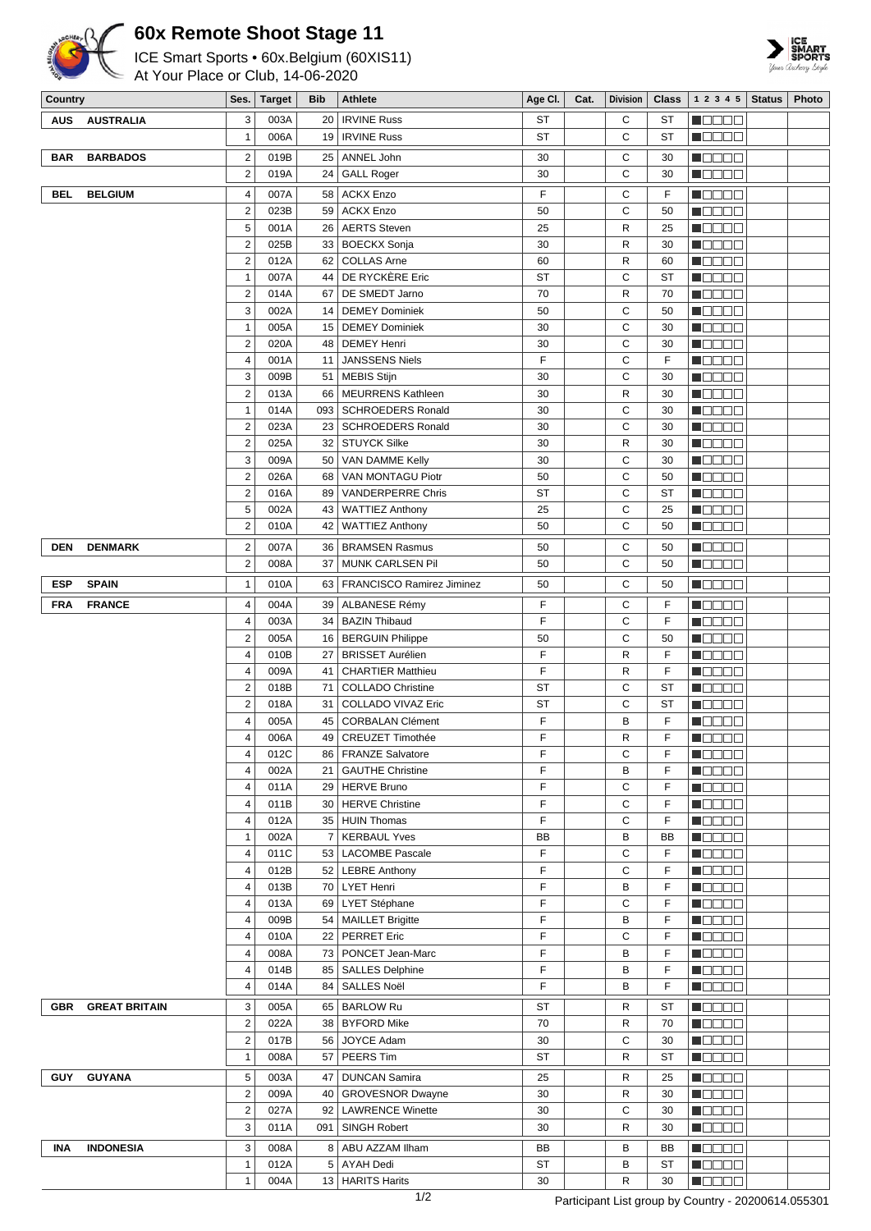

## **60x Remote Shoot Stage 11**

ICE Smart Sports • 60x.Belgium (60XIS11)

At Your Place or Club, 14-06-2020



| Country    |                      | Ses.                                      | <b>Target</b> | <b>Bib</b> | <b>Athlete</b>                                 | Age CI.                | Cat. | <b>Division</b> | <b>Class</b> | 1 2 3 4 5                                               | <b>Status</b> | Photo |
|------------|----------------------|-------------------------------------------|---------------|------------|------------------------------------------------|------------------------|------|-----------------|--------------|---------------------------------------------------------|---------------|-------|
| AUS        | <b>AUSTRALIA</b>     | 3                                         | 003A          |            | 20   IRVINE Russ                               | ST                     |      | С               | ST           | N O O O O                                               |               |       |
|            |                      | $\mathbf{1}$                              | 006A          |            | 19   IRVINE Russ                               | ST                     |      | C               | ST           | HOOOO                                                   |               |       |
| <b>BAR</b> | <b>BARBADOS</b>      | $\overline{\mathbf{c}}$                   | 019B          |            | 25   ANNEL John                                | 30                     |      | C               | 30           | Maaaa                                                   |               |       |
|            |                      | $\overline{2}$                            | 019A          | 24         | <b>GALL Roger</b>                              | 30                     |      | C               | 30           | NOOOO                                                   |               |       |
| <b>BEL</b> | <b>BELGIUM</b>       | 4                                         | 007A          | 58         | <b>ACKX Enzo</b>                               | F                      |      | C               | F            | Maaaa                                                   |               |       |
|            |                      | $\overline{2}$                            | 023B          | 59         | <b>ACKX Enzo</b>                               | 50                     |      | C               | 50           | N O O O O                                               |               |       |
|            |                      | 5                                         | 001A          |            | 26   AERTS Steven                              | 25                     |      | R               | 25           | N DE E E                                                |               |       |
|            |                      | $\overline{c}$                            | 025B          |            | 33   BOECKX Sonja                              | 30                     |      | $\mathsf{R}$    | 30           | N DO DO                                                 |               |       |
|            |                      | $\overline{c}$                            | 012A          |            | 62   COLLAS Arne                               | 60                     |      | $\mathsf{R}$    | 60           | 8000 C                                                  |               |       |
|            |                      | 1                                         | 007A          |            | 44   DE RYCKERE Eric                           | ST                     |      | C               | ST           | M OO OO                                                 |               |       |
|            |                      | $\overline{2}$                            | 014A          |            | 67   DE SMEDT Jarno                            | 70                     |      | R               | 70           | n de se                                                 |               |       |
|            |                      | 3                                         | 002A          |            | 14   DEMEY Dominiek                            | 50                     |      | C               | 50           | N DE ER                                                 |               |       |
|            |                      | $\mathbf{1}$                              | 005A          |            | 15   DEMEY Dominiek                            | 30                     |      | C               | 30           | M O O O O                                               |               |       |
|            |                      | $\overline{2}$                            | 020A          |            | 48   DEMEY Henri                               | 30                     |      | C               | 30           | N OO OO                                                 |               |       |
|            |                      | 4                                         | 001A          | 11         | <b>JANSSENS Niels</b>                          | F                      |      | C               | F            | <b>M</b> OOOO                                           |               |       |
|            |                      | 3                                         | 009B          |            | 51   MEBIS Stijn                               | 30                     |      | C               | 30           | N O O O O                                               |               |       |
|            |                      | $\overline{c}$                            | 013A          |            | 66   MEURRENS Kathleen                         | 30                     |      | R               | 30           | M OO OO                                                 |               |       |
|            |                      | $\mathbf{1}$                              | 014A          |            | 093   SCHROEDERS Ronald                        | 30                     |      | C               | 30           | n Booo                                                  |               |       |
|            |                      | $\overline{\mathbf{c}}$                   | 023A          |            | 23   SCHROEDERS Ronald                         | 30                     |      | C               | 30           | <b>M</b> ODOO                                           |               |       |
|            |                      | $\overline{\mathbf{c}}$                   | 025A          |            | 32   STUYCK Silke                              | 30                     |      | R<br>C          | 30           | N DE BE                                                 |               |       |
|            |                      | 3<br>$\overline{c}$                       | 009A<br>026A  |            | 50   VAN DAMME Kelly<br>68   VAN MONTAGU Piotr | 30<br>50               |      | C               | 30<br>50     | M O O O O<br>N OO OO                                    |               |       |
|            |                      | $\overline{\mathbf{c}}$                   | 016A          | 89         | <b>VANDERPERRE Chris</b>                       | <b>ST</b>              |      | C               | ST           | <b>M</b> ODOO                                           |               |       |
|            |                      | 5                                         | 002A          | 43         | <b>WATTIEZ Anthony</b>                         | 25                     |      | C               | 25           | $\blacksquare$ $\square$ $\square$ $\square$            |               |       |
|            |                      | $\overline{\mathbf{c}}$                   | 010A          | 42         | <b>WATTIEZ Anthony</b>                         | 50                     |      | C               | 50           | Maaaa                                                   |               |       |
| <b>DEN</b> | <b>DENMARK</b>       | $\overline{c}$                            | 007A          |            | 36   BRAMSEN Rasmus                            | 50                     |      | C               | 50           | N O O O O                                               |               |       |
|            |                      | 2                                         | 008A          | 37         | <b>MUNK CARLSEN Pil</b>                        | 50                     |      | C               | 50           | M OO OO                                                 |               |       |
|            |                      |                                           |               |            |                                                |                        |      |                 |              |                                                         |               |       |
| <b>ESP</b> | <b>SPAIN</b>         | 1                                         | 010A          |            | 63   FRANCISCO Ramirez Jiminez                 | 50                     |      | C               | 50           | <b>HEEEE</b>                                            |               |       |
| <b>FRA</b> | <b>FRANCE</b>        | 4                                         | 004A          |            | 39   ALBANESE Rémy                             | F                      |      | C               | F            | MODE O                                                  |               |       |
|            |                      | 4                                         | 003A          |            | 34   BAZIN Thibaud                             | F                      |      | C               | F            | M DE E E                                                |               |       |
|            |                      | 2                                         | 005A          |            | 16   BERGUIN Philippe                          | 50                     |      | C               | 50           | M OO OO                                                 |               |       |
|            |                      | 4                                         | 010B          | 27 I       | <b>BRISSET Aurélien</b>                        | F                      |      | R               | F            | <b>M</b> OOOO                                           |               |       |
|            |                      | 4                                         | 009A          |            | 41   CHARTIER Matthieu                         | F                      |      | $\mathsf{R}$    | F            | N DE SE                                                 |               |       |
|            |                      | $\overline{2}$<br>$\overline{2}$          | 018B<br>018A  | 71         | <b>COLLADO Christine</b>                       | <b>ST</b><br><b>ST</b> |      | C<br>C          | ST<br>ST     | <b>MODOO</b>                                            |               |       |
|            |                      | 4                                         | 005A          | 31 I<br>45 | COLLADO VIVAZ Eric<br><b>CORBALAN Clément</b>  | F                      |      | B               | F            | <b>REBEE</b><br>N DE BEL                                |               |       |
|            |                      | 4                                         | 006A          |            | 49 CREUZET Timothée                            | F                      |      | R               | F            | $\blacksquare$                                          |               |       |
|            |                      | 4                                         | 012C          |            | 86   FRANZE Salvatore                          | F                      |      | С               | F            | 8000 C                                                  |               |       |
|            |                      | 4                                         | 002A          |            | 21   GAUTHE Christine                          | F                      |      | В               | F            | n de ee                                                 |               |       |
|            |                      | 4                                         | 011A          |            | 29   HERVE Bruno                               | F                      |      | C               | F            | n da aa                                                 |               |       |
|            |                      | 4                                         | 011B          |            | 30   HERVE Christine                           | F                      |      | C               | F            | $\blacksquare$                                          |               |       |
|            |                      | 4                                         | 012A          |            | 35 HUIN Thomas                                 | F                      |      | C               | F            | M B B B B                                               |               |       |
|            |                      | 1                                         | 002A          |            | 7   KERBAUL Yves                               | BB                     |      | B               | BB           | MOOOO                                                   |               |       |
|            |                      | 4                                         | 011C          |            | 53   LACOMBE Pascale                           | F                      |      | C               | F            | <b>M</b> OOOO                                           |               |       |
|            |                      | 4                                         | 012B          |            | 52   LEBRE Anthony                             | F                      |      | C               | F            | n se se                                                 |               |       |
|            |                      | 4                                         | 013B          |            | 70   LYET Henri                                | F                      |      | В               | F            | <b>M</b> OOOO                                           |               |       |
|            |                      | 4                                         | 013A          |            | 69   LYET Stéphane                             | F                      |      | C               | F            | NOOOO                                                   |               |       |
|            |                      | 4                                         | 009B          |            | 54   MAILLET Brigitte                          | F                      |      | В               | F            | <b>MODOO</b>                                            |               |       |
|            |                      | 4                                         | 010A<br>008A  |            | 22   PERRET Eric<br>73   PONCET Jean-Marc      | F<br>F                 |      | С<br>B          | F<br>F       | <u> Nebeli</u><br>N O O O O                             |               |       |
|            |                      | 4<br>4                                    | 014B          |            | 85   SALLES Delphine                           | F                      |      | B               | F            | NOOOO                                                   |               |       |
|            |                      | 4                                         | 014A          |            | 84   SALLES Noël                               | F                      |      | B               | F            | $\blacksquare$ $\square$ $\square$ $\square$            |               |       |
|            |                      |                                           |               |            |                                                |                        |      |                 |              |                                                         |               |       |
| <b>GBR</b> | <b>GREAT BRITAIN</b> | 3                                         | 005A          |            | 65   BARLOW Ru                                 | ST                     |      | R               | ST           | HOOOO                                                   |               |       |
|            |                      | $\overline{2}$<br>$\overline{\mathbf{c}}$ | 022A<br>017B  |            | 38   BYFORD Mike<br>56 JOYCE Adam              | 70<br>30               |      | R<br>C          | 70<br>30     | N DE E E<br><b>M</b> ODOO                               |               |       |
|            |                      | 1                                         | 008A          |            | 57   PEERS Tim                                 | ST                     |      | $\mathsf{R}$    | <b>ST</b>    | M O O O O                                               |               |       |
|            |                      |                                           |               |            |                                                |                        |      |                 |              |                                                         |               |       |
|            | GUY GUYANA           | 5                                         | 003A          |            | 47   DUNCAN Samira                             | 25                     |      | R               | 25           | MOOOO                                                   |               |       |
|            |                      | $\overline{c}$<br>$\overline{\mathbf{c}}$ | 009A<br>027A  |            | 40   GROVESNOR Dwayne<br>92   LAWRENCE Winette | 30<br>30               |      | R<br>C          | 30<br>30     | M OO OO<br>$\blacksquare$ $\square$ $\square$ $\square$ |               |       |
|            |                      | 3                                         | 011A          |            | 091   SINGH Robert                             | 30                     |      | R               | 30           | $\blacksquare$ $\square$ $\square$ $\square$            |               |       |
|            |                      |                                           |               |            |                                                |                        |      |                 |              |                                                         |               |       |
| INA        | <b>INDONESIA</b>     | 3                                         | 008A          |            | 8   ABU AZZAM Ilham                            | BB                     |      | в               | BB           | <b>M</b> OOOO                                           |               |       |
|            |                      | $\mathbf{1}$                              | 012A          |            | 5 AYAH Dedi                                    | <b>ST</b>              |      | B               | ST           | N DE EL                                                 |               |       |
|            |                      | 1                                         | 004A          |            | 13   HARITS Harits                             | 30                     |      | R               | 30           | $\blacksquare$ $\square$ $\square$ $\square$            |               |       |